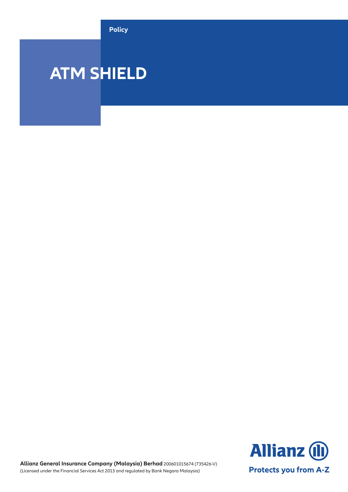**Policy**

# **ATM SHIELD**

**Allianz (II) Protects you from A-Z** 

**Allianz General Insurance Company (Malaysia) Berhad** 200601015674 (735426-V) (Licensed under the Financial Services Act 2013 and regulated by Bank Negara Malaysia)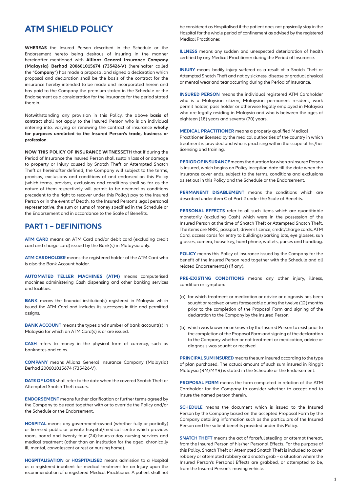# **ATM SHIELD POLICY**

**WHEREAS** the Insured Person described in the Schedule or the Endorsement hereto being desirous of insuring in the manner hereinafter mentioned with **Allianz General Insurance Company (Malaysia) Berhad 200601015674 (735426-V)** (hereinafter called the "**Company**") has made a proposal and signed a declaration which proposal and declaration shall be the basis of the contract for the insurance hereby intended to be made and incorporated herein and has paid to the Company the premium stated in the Schedule or the Endorsement as a consideration for the insurance for the period stated therein.

Notwithstanding any provision in this Policy, the above **basis of contract** shall not apply to the Insured Person who is an individual entering into, varying or renewing the contract of insurance **wholly for purposes unrelated to the Insured Person's trade, business or profession**.

**NOW THIS POLICY OF INSURANCE WITNESSETH** that if during the Period of Insurance the Insured Person shall sustain loss of or damage to property or Injury caused by Snatch Theft or Attempted Snatch Theft as hereinafter defined, the Company will subject to the terms, provisos, exclusions and conditions of and endorsed on this Policy (which terms, provisos, exclusions and conditions shall so far as the nature of them respectively will permit to be deemed as conditions precedent to the right to recover under this Policy) pay to the Insured Person or in the event of Death, to the Insured Person's legal personal representative, the sum or sums of money specified in the Schedule or the Endorsement and in accordance to the Scale of Benefits.

# **PART 1 – DEFINITIONS**

**ATM CARD** means an ATM Card and/or debit card (excluding credit card and charge card) issued by the Bank(s) in Malaysia only.

**ATM CARDHOLDER** means the registered holder of the ATM Card who is also the Bank Account holder.

**AUTOMATED TELLER MACHINES (ATM)** means computerised machines administering Cash dispensing and other banking services and facilities.

**BANK** means the financial institution(s) registered in Malaysia which issued the ATM Card and includes its successors-in-title and permitted assigns.

**BANK ACCOUNT** means the types and number of bank account(s) in Malaysia for which an ATM Card(s) is or are issued.

**CASH** refers to money in the physical form of currency, such as banknotes and coins.

**COMPANY** means Allianz General Insurance Company (Malaysia) Berhad 200601015674 (735426-V).

**DATE OF LOSS** shall refer to the date when the covered Snatch Theft or Attempted Snatch Theft occurs.

**ENDORSEMENT** means further clarification or further terms agreed by the Company to be read together with or to override the Policy and/or the Schedule or the Endorsement.

**HOSPITAL** means any government-owned (whether fully or partially) or licensed public or private hospital/medical centre which provides room, board and twenty four (24)-hours-a-day nursing services and medical treatment (other than an institution for the aged, chronically ill, mental, convalescent or rest or nursing home).

**HOSPITALISATION** or **HOSPITALISED** means admission to a Hospital as a registered inpatient for medical treatment for an Injury upon the recommendation of a registered Medical Practitioner. A patient shall not

be considered as Hospitalised if the patient does not physically stay in the Hospital for the whole period of confinement as advised by the registered Medical Practitioner.

**ILLNESS** means any sudden and unexpected deterioration of health certified by any Medical Practitioner during the Period of Insurance.

**INJURY** means bodily injury suffered as a result of a Snatch Theft or Attempted Snatch Theft and not by sickness, disease or gradual physical or mental wear and tear occurring during the Period of Insurance.

**INSURED PERSON** means the individual registered ATM Cardholder who is a Malaysian citizen, Malaysian permanent resident, work permit holder, pass holder or otherwise legally employed in Malaysia who are legally residing in Malaysia and who is between the ages of eighteen (18) years and seventy (70) years.

**MEDICAL PRACTITIONER** means a properly qualified Medical Practitioner licensed by the medical authorities of the country in which treatment is provided and who is practising within the scope of his/her licensing and training.

**PERIOD OF INSURANCE** means the duration for when an Insured Person is insured, which begins on Policy inception date till the date when the insurance cover ends, subject to the terms, conditions and exclusions as set out in this Policy and the Schedule or the Endorsement.

**PERMANENT DISABLEMENT** means the conditions which are described under item C of Part 2 under the Scale of Benefits.

**PERSONAL EFFECTS** refer to all such items which are quantifiable monetarily (excluding Cash) which were in the possession of the Insured Person at the time of Snatch Theft or Attempted Snatch Theft. The items are NRIC, passport, driver's licence, credit/charge cards, ATM Card, access cards for entry to buildings/parking lots, eye glasses, sun glasses, camera, house key, hand phone, wallets, purses and handbag.

**POLICY** means this Policy of insurance issued by the Company for the benefit of the Insured Person read together with the Schedule and all related Endorsement(s) (if any).

**PRE-EXISTING CONDITIONS** means any other injury, illness, condition or symptom:

- (a) for which treatment or medication or advice or diagnosis has been sought or received or was foreseeable during the twelve (12) months prior to the completion of the Proposal Form and signing of the declaration to the Company by the Insured Person;
- (b) which was known or unknown by the Insured Person to exist prior to the completion of the Proposal Form and signing of the declaration to the Company whether or not treatment or medication, advice or diagnosis was sought or received.

**PRINCIPAL SUM INSURED** means the sum insured according to the type of plan purchased. The actual amount of such sum insured in Ringgit Malaysia (RM/MYR) is stated in the Schedule or the Endorsement.

**PROPOSAL FORM** means the form completed in relation of the ATM Cardholder for the Company to consider whether to accept and to insure the named person therein.

**SCHEDULE** means the document which is issued to the Insured Person by the Company based on the accepted Proposal Form by the Company detailing information such as the particulars of the Insured Person and the salient benefits provided under this Policy.

**SNATCH THEFT** means the act of forceful stealing or attempt thereat, from the Insured Person of his/her Personal Effects. For the purpose of this Policy, Snatch Theft or Attempted Snatch Theft is included to cover robbery or attempted robbery and snatch grab – a situation where the Insured Person's Personal Effects are grabbed, or attempted to be, from the Insured Person's moving vehicle.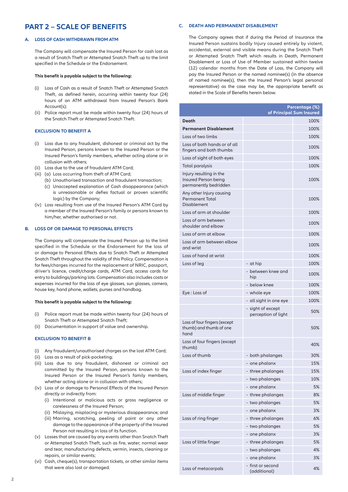# **PART 2 – SCALE OF BENEFITS**

# **A. LOSS OF CASH WITHDRAWN FROM ATM**

The Company will compensate the Insured Person for cash lost as a result of Snatch Theft or Attempted Snatch Theft up to the limit specified in the Schedule or the Endorsement.

#### **This benefit is payable subject to the following:**

- (i) Loss of Cash as a result of Snatch Theft or Attempted Snatch Theft, as defined herein, occurring within twenty four (24) hours of an ATM withdrawal from Insured Person's Bank Account(s);
- (ii) Police report must be made within twenty four (24) hours of the Snatch Theft or Attempted Snatch Theft.

# **EXCLUSION TO BENEFIT A**

- (i) Loss due to any fraudulent, dishonest or criminal act by the Insured Person, persons known to the Insured Person or the Insured Person's family members, whether acting alone or in collusion with others;
- (ii) Loss due to the use of fraudulent ATM Card;
- (iii) (a) Loss occurring from theft of ATM Card;
	- (b) Unauthorised transaction and fraudulent transaction;
		- (c) Unaccepted explanation of Cash disappearance (which is unreasonable or defies factual or proven scientific logic) by the Company;
- (iv) Loss resulting from use of the Insured Person's ATM Card by a member of the Insured Person's family or persons known to him/her, whether authorised or not.

# **B. LOSS OF OR DAMAGE TO PERSONAL EFFECTS**

The Company will compensate the Insured Person up to the limit specified in the Schedule or the Endorsement for the loss of or damage to Personal Effects due to Snatch Theft or Attempted Snatch Theft throughout the validity of this Policy. Compensation is for fees/charges incurred for the replacement of NRIC, passport, driver's licence, credit/charge cards, ATM Card, access cards for entry to buildings/parking lots. Compensation also includes costs or expenses incurred for the loss of eye glasses, sun glasses, camera, house key, hand phone, wallets, purses and handbag.

#### **This benefit is payable subject to the following:**

- (i) Police report must be made within twenty four (24) hours of Snatch Theft or Attempted Snatch Theft;
- (ii) Documentation in support of value and ownership.

#### **EXCLUSION TO BENEFIT B**

- (i) Any fraudulent/unauthorised charges on the lost ATM Card;
- (ii) Loss as a result of pick-pocketing;
- (iii) Loss due to any fraudulent, dishonest or criminal act committed by the Insured Person, persons known to the Insured Person or the Insured Person's family members, whether acting alone or in collusion with others;
- (iv) Loss of or damage to Personal Effects of the Insured Person directly or indirectly from:
	- (i) Intentional or malicious acts or gross negligence or carelessness of the Insured Person;
	- (ii) Mislaying, misplacing or mysterious disappearance; and
	- (iii) Marring, scratching, peeling of paint or any other damage to the appearance of the property of the Insured Person not resulting in loss of its function.
- (v) Losses that are caused by any events other than Snatch Theft or Attempted Snatch Theft, such as fire, water, normal wear and tear, manufacturing defects, vermin, insects, cleaning or repairs, or similar events;
- (vi) Cash, cheque(s), transportation tickets, or other similar items that were also lost or damaged.

## **C. DEATH AND PERMANENT DISABLEMENT**

The Company agrees that if during the Period of Insurance the Insured Person sustains bodily Injury caused entirely by violent, accidental, external and visible means during the Snatch Theft or Attempted Snatch Theft which results in Death, Permanent Disablement or Loss of Use of Member sustained within twelve (12) calendar months from the Date of Loss, the Company will pay the Insured Person or the named nominee(s) (in the absence of named nominee(s), then the Insured Person's legal personal representative) as the case may be, the appropriate benefit as stated in the Scale of Benefits herein below.

|                                                                          |                                          | Percentage (%)           |
|--------------------------------------------------------------------------|------------------------------------------|--------------------------|
|                                                                          |                                          | of Principal Sum Insured |
| <b>Death</b>                                                             |                                          | 100%                     |
| <b>Permanent Disablement</b>                                             |                                          | 100%                     |
| Loss of two limbs                                                        |                                          | 100%                     |
| Loss of both hands or of all<br>fingers and both thumbs                  |                                          | 100%                     |
| Loss of sight of both eyes                                               |                                          | 100%                     |
| Total paralysis                                                          |                                          | 100%                     |
| Injury resulting in the<br>Insured Person being<br>permanently bedridden |                                          | 100%                     |
| Any other Injury causing<br><b>Permanent Total</b><br>Disablement        |                                          | 100%                     |
| Loss of arm at shoulder                                                  |                                          | 100%                     |
| Loss of arm between<br>shoulder and elbow                                |                                          | 100%                     |
| Loss of arm at elbow                                                     |                                          | 100%                     |
| Loss of arm between elbow<br>and wrist                                   |                                          | 100%                     |
| Loss of hand at wrist                                                    |                                          | 100%                     |
| Loss of leg                                                              | - at hip                                 | 100%                     |
|                                                                          | - between knee and<br>hip                | 100%                     |
|                                                                          | - below knee                             | 100%                     |
| Eye : Loss of                                                            | - whole eye                              | 100%                     |
|                                                                          | - all sight in one eye                   | 100%                     |
|                                                                          | - sight of except<br>perception of light | 50%                      |
| Loss of four fingers (except<br>thumb) and thumb of one<br>hand          |                                          | 50%                      |
| Loss of four fingers (except<br>thumb)                                   |                                          | 40%                      |
| Loss of thumb                                                            | - both phalanges                         | 30%                      |
|                                                                          | - one phalanx                            | 15%                      |
| Loss of index finger                                                     | - three phalanges                        | 15%                      |
|                                                                          | - two phalanges                          | 10%                      |
|                                                                          | - one phalanx                            | 5%                       |
| Loss of middle finger                                                    | - three phalanges                        | 8%                       |
|                                                                          | - two phalanges                          | 5%                       |
|                                                                          | - one phalanx                            | 3%                       |
| Loss of ring finger                                                      | - three phalanges                        | 6%                       |
|                                                                          | - two phalanges                          | 5%                       |
|                                                                          | - one phalanx                            | 3%                       |
| Loss of little finger                                                    | - three phalanges                        | 5%                       |
|                                                                          | - two phalanges                          | 4%                       |
|                                                                          | - one phalanx                            | 3%                       |
| Loss of metacarpals                                                      | - first or second<br>(additional)        | 4%                       |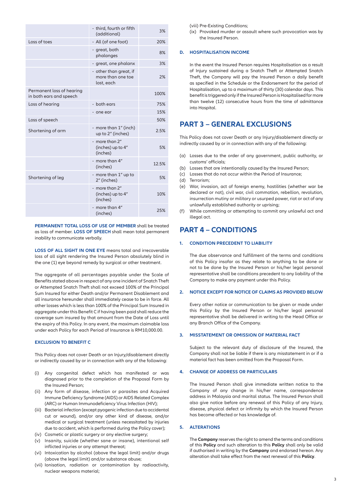|                                                      | - third, fourth or fifth<br>(additional)                  | 3%    |
|------------------------------------------------------|-----------------------------------------------------------|-------|
| Loss of toes                                         | - All (of one foot)                                       | 20%   |
|                                                      | - great, both<br>phalanges                                | 8%    |
|                                                      | - great, one phalanx                                      | 3%    |
|                                                      | - other than great, if<br>more than one toe<br>lost, each | 2%    |
| Permanent loss of hearing<br>in both ears and speech |                                                           | 100%  |
| Loss of hearing                                      | - both ears                                               | 75%   |
|                                                      | - one ear                                                 | 15%   |
| Loss of speech                                       |                                                           | 50%   |
| Shortening of arm                                    | - more than 1" (inch)<br>up to 2" (inches)                | 2.5%  |
|                                                      | - more than 2"<br>(inches) up to 4"<br>(inches)           | 5%    |
|                                                      | - more than 4"<br>(inches)                                | 12.5% |
| Shortening of leg                                    | - more than 1" up to<br>2" (inches)                       | 5%    |
|                                                      | - more than 2"<br>(inches) up to 4"<br>(inches)           | 10%   |
|                                                      | - more than 4"<br>(inches)                                | 25%   |

**PERMANENT TOTAL LOSS OF USE OF MEMBER** shall be treated as loss of member. **LOSS OF SPEECH** shall mean total permanent inability to communicate verbally.

**LOSS OF ALL SIGHT IN ONE EYE** means total and irrecoverable loss of all sight rendering the Insured Person absolutely blind in the one (1) eye beyond remedy by surgical or other treatment.

The aggregate of all percentages payable under the Scale of Benefits stated above in respect of any one incident of Snatch Theft or Attempted Snatch Theft shall not exceed 100% of the Principal Sum Insured for either Death and/or Permanent Disablement and all insurance hereunder shall immediately cease to be in force. All other losses which is less than 100% of the Principal Sum Insured in aggregate under this Benefit C if having been paid shall reduce the coverage sum insured by that amount from the Date of Loss until the expiry of this Policy. In any event, the maximum claimable loss under each Policy for each Period of Insurance is RM10,000.00.

# **EXCLUSION TO BENEFIT C**

This Policy does not cover Death or an Injury/disablement directly or indirectly caused by or in connection with any of the following:

- (i) Any congenital defect which has manifested or was diagnosed prior to the completion of the Proposal Form by the Insured Person;
- (ii) Any form of disease, infection or parasites and Acquired Immune Deficiency Syndrome (AIDS) or AIDS Related Complex (ARC) or Human Immunodeficiency Virus Infection (HIV);
- (iii) Bacterial infection (except pyogenic infection due to accidental cut or wound), and/or any other kind of disease, and/or medical or surgical treatment (unless necessitated by injuries due to accident, which is performed during the Policy cover);
- (iv) Cosmetic or plastic surgery or any elective surgery;
- (v) Insanity, suicide (whether sane or insane), intentional self inflicted injuries or any attempt thereat;
- (vi) Intoxication by alcohol (above the legal limit) and/or drugs (above the legal limit) and/or substance abuse;
- (vii) Ionisation, radiation or contamination by radioactivity, nuclear weapons material;

(viii) Pre-Existing Conditions;

(ix) Provoked murder or assault where such provocation was by the Insured Person.

#### **D. HOSPITALISATION INCOME**

In the event the Insured Person requires Hospitalisation as a result of Injury sustained during a Snatch Theft or Attempted Snatch Theft, the Company will pay the Insured Person a daily benefit as specified in the Schedule or the Endorsement for the period of Hospitalisation, up to a maximum of thirty (30) calendar days. This benefit is triggered only if the Insured Person is Hospitalised for more than twelve (12) consecutive hours from the time of admittance into Hospital

# **PART 3 – GENERAL EXCLUSIONS**

This Policy does not cover Death or any Injury/disablement directly or indirectly caused by or in connection with any of the following:

- (a) Losses due to the order of any government, public authority, or customs' officials;
- (b) Losses that are intentionally caused by the Insured Person;
- (c) Losses that do not occur within the Period of Insurance;
- (d) Terrorism;
- (e) War, invasion, act of foreign enemy, hostilities (whether war be declared or not), civil war, civil commotion, rebellion, revolution, insurrection mutiny or military or usurped power, riot or act of any unlawfully established authority or uprising;
- (f) While committing or attempting to commit any unlawful act and illegal act.

# **PART 4 – CONDITIONS**

# **1. CONDITION PRECEDENT TO LIABILITY**

The due observance and fulfillment of the terms and conditions of this Policy insofar as they relate to anything to be done or not to be done by the Insured Person or his/her legal personal representative shall be conditions precedent to any liability of the Company to make any payment under this Policy.

# **2. NOTICE EXCEPT FOR NOTICE OF CLAIMS AS PROVIDED BELOW**

Every other notice or communication to be given or made under this Policy by the Insured Person or his/her legal personal representative shall be delivered in writing to the Head Office or any Branch Office of the Company.

# **3. MISSTATEMENT OR OMISSION OF MATERIAL FACT**

Subject to the relevant duty of disclosure of the Insured, the Company shall not be liable if there is any misstatement in or if a material fact has been omitted from the Proposal Form.

#### **4. CHANGE OF ADDRESS OR PARTICULARS**

The Insured Person shall give immediate written notice to the Company of any change in his/her name, correspondence address in Malaysia and marital status. The Insured Person shall also give notice before any renewal of this Policy of any Injury, disease, physical defect or infirmity by which the Insured Person has become affected or has knowledge of.

# **5. ALTERATIONS**

The **Company** reserves the right to amend the terms and conditions of this **Policy** and such alteration to this **Policy** shall only be valid if authorised in writing by the **Company** and endorsed hereon. Any alteration shall take effect from the next renewal of this **Policy**.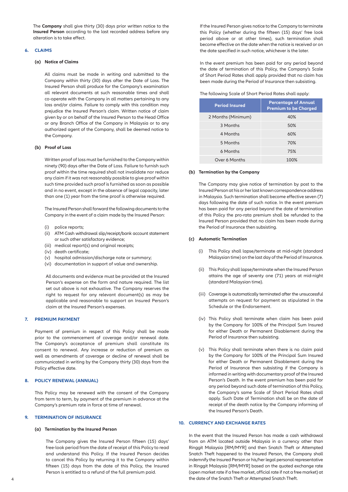The **Company** shall give thirty (30) days prior written notice to the **Insured Person** according to the last recorded address before any alteration is to take effect.

# **6. CLAIMS**

#### **(a) Notice of Claims**

 All claims must be made in writing and submitted to the Company within thirty (30) days after the Date of Loss. The Insured Person shall produce for the Company's examination all relevant documents at such reasonable times and shall co-operate with the Company in all matters pertaining to any loss and/or claims. Failure to comply with this condition may prejudice the Insured Person's claim. Written notice of claim given by or on behalf of the Insured Person to the Head Office or any Branch Office of the Company in Malaysia or to any authorized agent of the Company, shall be deemed notice to the Company.

## **(b) Proof of Loss**

 Written proof of loss must be furnished to the Company within ninety (90) days after the Date of Loss. Failure to furnish such proof within the time required shall not invalidate nor reduce any claim if it was not reasonably possible to give proof within such time provided such proof is furnished as soon as possible and in no event, except in the absence of legal capacity, later than one (1) year from the time proof is otherwise required.

 The Insured Person shall forward the following documents to the Company in the event of a claim made by the Insured Person:

- (i) police reports;
- (ii) ATM Cash withdrawal slip/receipt/bank account statement or such other satisfactory evidence;
- (iii) medical report(s) and original receipts;
- (iv) death certificate;
- (v) hospital admission/discharge note or summary;
- (vi) documentation in support of value and ownership.

 All documents and evidence must be provided at the Insured Person's expense on the form and nature required. The list set out above is not exhaustive. The Company reserves the right to request for any relevant document(s) as may be applicable and reasonable to support an Insured Person's claim at the Insured Person's expenses.

# **7. PREMIUM PAYMENT**

Payment of premium in respect of this Policy shall be made prior to the commencement of coverage and/or renewal date. The Company's acceptance of premium shall constitute its consent to renewal. Any increase or reduction of premium as well as amendments of coverage or decline of renewal shall be communicated in writing by the Company thirty (30) days from the Policy effective date.

# **8. POLICY RENEWAL (ANNUAL)**

This Policy may be renewed with the consent of the Company from term to term, by payment of the premium in advance at the Company's premium rate in force at time of renewal.

# **9. TERMINATION OF INSURANCE**

#### **(a) Termination by the Insured Person**

The Company gives the Insured Person fifteen (15) days' free-look period from the date of receipt of this Policy to read and understand this Policy. If the Insured Person decides to cancel this Policy by returning it to the Company within fifteen (15) days from the date of this Policy, the Insured Person is entitled to a refund of the full premium paid.

 If the Insured Person gives notice to the Company to terminate this Policy (whether during the fifteen (15) days' free look period above or at other times), such termination shall become effective on the date when the notice is received or on the date specified in such notice, whichever is the later.

 In the event premium has been paid for any period beyond the date of termination of this Policy, the Company's Scale of Short Period Rates shall apply provided that no claim has been made during the Period of Insurance then subsisting.

The following Scale of Short Period Rates shall apply:

| <b>Period Insured</b> | <b>Percentage of Annual</b><br><b>Premium to be Charged</b> |
|-----------------------|-------------------------------------------------------------|
| 2 Months (Minimum)    | 40%                                                         |
| 3 Months              | 50%                                                         |
| 4 Months              | 60%                                                         |
| 5 Months              | 70%                                                         |
| 6 Months              | 75%                                                         |
| Over 6 Months         | 100%                                                        |

#### **(b) Termination by the Company**

 The Company may give notice of termination by post to the Insured Person at his or her last known correspondence address in Malaysia. Such termination shall become effective seven (7) days following the date of such notice. In the event premium has been paid for any period beyond the date of termination of this Policy the pro-rata premium shall be refunded to the Insured Person provided that no claim has been made during the Period of Insurance then subsisting.

## **(c) Automatic Termination**

- (i) This Policy shall lapse/terminate at mid-night (standard Malaysian time) on the last day of the Period of Insurance.
- (ii) This Policy shall lapse/terminate when the Insured Person attains the age of seventy one (71) years at mid-night (standard Malaysian time).
- (iii) Coverage is automatically terminated after the unsuccessful attempts on request for payment as stipulated in the Schedule or the Endorsement.
- (iv) This Policy shall terminate when claim has been paid by the Company for 100% of the Principal Sum Insured for either Death or Permanent Disablement during the Period of Insurance then subsisting.
- (v) This Policy shall terminate when there is no claim paid by the Company for 100% of the Principal Sum Insured for either Death or Permanent Disablement during the Period of Insurance then subsisting if the Company is informed in writing with documentary proof of the Insured Person's Death. In the event premium has been paid for any period beyond such date of termination of this Policy, the Company's same Scale of Short Period Rates shall apply. Such Date of Termination shall be on the date of receipt of the death notice by the Company informing of the Insured Person's Death.

# **10. CURRENCY AND EXCHANGE RATES**

In the event that the Insured Person has made a cash withdrawal from an ATM located outside Malaysia in a currency other than Ringgit Malaysia [RM/MYR] and then Snatch Theft or Attempted Snatch Theft happened to the Insured Person, the Company shall indemnify the Insured Person or his/her legal personal representative in Ringgit Malaysia [RM/MYR] based on the quoted exchange rate (open market rate if a free market, official rate if not a free market) at the date of the Snatch Theft or Attempted Snatch Theft.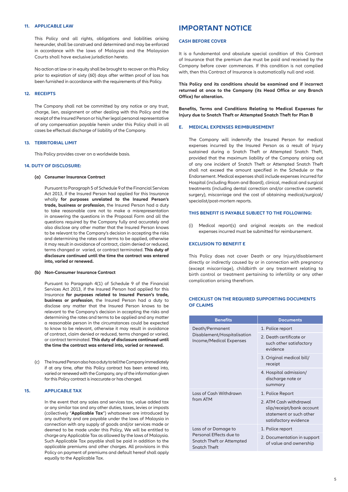#### **11. APPLICABLE LAW**

This Policy and all rights, obligations and liabilities arising hereunder, shall be construed and determined and may be enforced in accordance with the laws of Malaysia and the Malaysian Courts shall have exclusive jurisdiction hereto.

No action at law or in equity shall be brought to recover on this Policy prior to expiration of sixty (60) days after written proof of loss has been furnished in accordance with the requirements of this Policy.

# **12. RECEIPTS**

The Company shall not be committed by any notice or any trust, charge, lien, assignment or other dealing with this Policy and the receipt of the Insured Person or his/her legal personal representative of any compensation payable herein under this Policy shall in all cases be effectual discharge of liability of the Company.

# **13. TERRITORIAL LIMIT**

This Policy provides cover on a worldwide basis.

# **14. DUTY OF DISCLOSURE:**

#### **(a) Consumer Insurance Contract**

 Pursuant to Paragraph 5 of Schedule 9 of the Financial Services Act 2013, if the Insured Person had applied for this Insurance wholly **for purposes unrelated to the Insured Person's trade, business or profession**, the Insured Person had a duty to take reasonable care not to make a misrepresentation in answering the questions in the Proposal Form and all the questions required by the Company fully and accurately and also disclose any other matter that the Insured Person knows to be relevant to the Company's decision in accepting the risks and determining the rates and terms to be applied, otherwise it may result in avoidance of contract, claim denied or reduced, terms changed or varied, or contract terminated. **This duty of disclosure continued until the time the contract was entered into, varied or renewed.** 

# **(b) Non-Consumer Insurance Contract**

 Pursuant to Paragraph 4(1) of Schedule 9 of the Financial Services Act 2013, if the Insured Person had applied for this Insurance **for purposes related to Insured Person's trade, business or profession**, the Insured Person had a duty to disclose any matter that the Insured Person knows to be relevant to the Company's decision in accepting the risks and determining the rates and terms to be applied and any matter a reasonable person in the circumstances could be expected to know to be relevant, otherwise it may result in avoidance of contract, claim denied or reduced, terms changed or varied, or contract terminated. **This duty of disclosure continued until the time the contract was entered into, varied or renewed.**

(c) The Insured Person also has a duty to tell the Company immediately if at any time, after this Policy contract has been entered into, varied or renewed with the Company, any of the information given for this Policy contract is inaccurate or has changed.

# **15. APPLICABLE TAX**

 In the event that any sales and services tax, value added tax or any similar tax and any other duties, taxes, levies or imposts (collectively "**Applicable Tax**") whatsoever are introduced by any authority and are payable under the laws of Malaysia in connection with any supply of goods and/or services made or deemed to be made under this Policy, We will be entitled to charge any Applicable Tax as allowed by the laws of Malaysia. Such Applicable Tax payable shall be paid in addition to the applicable premiums and other charges. All provisions in this Policy on payment of premiums and default hereof shall apply equally to the Applicable Tax.

# **IMPORTANT NOTICE**

#### **CASH BEFORE COVER**

It is a fundamental and absolute special condition of this Contract of Insurance that the premium due must be paid and received by the Company before cover commences. If this condition is not complied with, then this Contract of Insurance is automatically null and void.

**This Policy and its conditions should be examined and if incorrect returned at once to the Company (its Head Office or any Branch Office) for alteration.** 

**Benefits, Terms and Conditions Relating to Medical Expenses for Injury due to Snatch Theft or Attempted Snatch Theft for Plan B**

# **E. MEDICAL EXPENSES REIMBURSEMENT**

The Company will indemnify the Insured Person for medical expenses incurred by the Insured Person as a result of Injury sustained during a Snatch Theft or Attempted Snatch Theft, provided that the maximum liability of the Company arising out of any one incident of Snatch Theft or Attempted Snatch Theft shall not exceed the amount specified in the Schedule or the Endorsement. Medical expenses shall include expenses incurred for Hospital (including Room and Board), clinical, medical and surgical treatments (including dental correction and/or corrective cosmetic surgery), miscarriage and the cost of obtaining medical/surgical/ specialist/post-mortem reports.

#### **THIS BENEFIT IS PAYABLE SUBJECT TO THE FOLLOWING:**

(i) Medical report(s) and original receipts on the medical expenses incurred must be submitted for reimbursement.

#### **EXCLUSION TO BENEFIT E**

This Policy does not cover Death or any Injury/disablement directly or indirectly caused by or in connection with pregnancy (except miscarriage), childbirth or any treatment relating to birth control or treatment pertaining to infertility or any other complication arising therefrom.

# **CHECKLIST ON THE REQUIRED SUPPORTING DOCUMENTS OF CLAIMS**

| <b>Benefits</b>                                                                                     | <b>Documents</b>                                                                                        |
|-----------------------------------------------------------------------------------------------------|---------------------------------------------------------------------------------------------------------|
| Death/Permanent<br>Disablement/Hospitalisation<br>Income/Medical Expenses                           | 1. Police report                                                                                        |
|                                                                                                     | 2. Death certificate or<br>such other satisfactory<br>evidence                                          |
|                                                                                                     | 3. Original medical bill/<br>receipt                                                                    |
|                                                                                                     | 4. Hospital admission/<br>discharge note or<br>summary                                                  |
| Loss of Cash Withdrawn<br>from ATM                                                                  | 1. Police Report                                                                                        |
|                                                                                                     | 2. ATM Cash withdrawal<br>slip/receipt/bank account<br>statement or such other<br>satisfactory evidence |
| Loss of or Damage to<br>Personal Effects due to<br>Snatch Theft or Attempted<br><b>Snatch Theft</b> | 1. Police report                                                                                        |
|                                                                                                     | 2. Documentation in support<br>of value and ownership                                                   |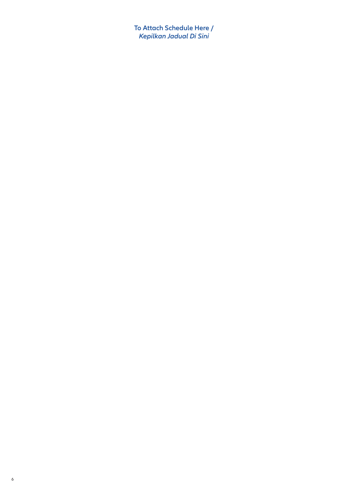**To Attach Schedule Here /** *Kepilkan Jadual Di Sini*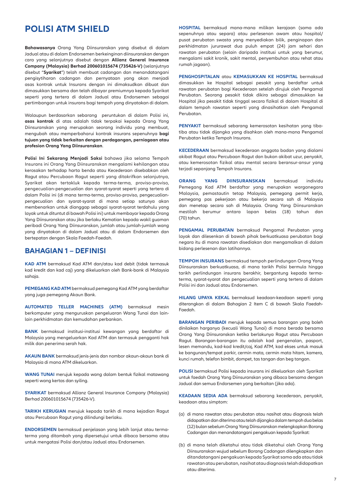# **POLISI ATM SHIELD**

**Bahawasanya** Orang Yang Diinsuranskan yang disebut di dalam Jadual atau di dalam Endorsemen berkeinginan diinsuranskan dengan cara yang selanjutnya disebut dengan **Allianz General Insurance Company (Malaysia) Berhad 200601015674 (735426-V)** (selanjutnya disebut "**Syarikat**") telah membuat cadangan dan menandatangani pengisytiharan cadangan dan pernyataan yang akan menjadi asas kontrak untuk Insurans dengan ini dimaksudkan dibuat dan dimasukkan bersama dan telah dibayar premiumnya kepada Syarikat seperti yang tertera di dalam Jadual atau Endorsemen sebagai pertimbangan untuk insurans bagi tempoh yang dinyatakan di dalam.

Walaupun berdasarkan sebarang peruntukan di dalam Polisi ini, **asas kontrak** di atas adalah tidak terpakai kepada Orang Yang Diinsuranskan yang merupakan seorang individu yang membuat, mengubah atau memperbaharui kontrak insurans sepenuhnya **bagi tujuan yang tidak berkaitan dengan perdagangan, perniagaan atau profesion Orang Yang Diinsuranskan**.

**Polisi Ini Sekarang Menjadi Saksi** bahawa jika selama Tempoh Insurans ini Orang Yang Diinsuranskan mengalami kehilangan atau kerosakan terhadap harta benda atau Kecederaan disebabkan oleh Ragut atau Percubaan Ragut seperti yang ditakrifkan selanjutnya, Syarikat akan tertakluk kepada terma-terma, proviso-proviso, pengecualian-pengecualian dan syarat-syarat seperti yang tertera di dalam Polisi ini (di mana terma-terma, proviso-proviso, pengecualianpengecualian dan syarat-syarat di mana setiap satunya akan membenarkan untuk dianggap sebagai syarat-syarat terdahulu yang layak untuk dituntut di bawah Polisi ini) untuk membayar kepada Orang Yang Diinsuranskan atau jika berlaku Kematian kepada wakil guaman peribadi Orang Yang Diinsuranskan, jumlah atau jumlah-jumlah wang yang dinyatakan di dalam Jadual atau di dalam Endorsemen dan bertepatan dengan Skala Faedah-Faedah.

# **BAHAGIAN 1 – DEFINISI**

**KAD ATM** bermaksud Kad ATM dan/atau kad debit (tidak termasuk kad kredit dan kad caj) yang dikeluarkan oleh Bank-bank di Malaysia sahaja.

**PEMEGANG KAD ATM** bermaksud pemegang Kad ATM yang berdaftar yang juga pemegang Akaun Bank.

**AUTOMATED TELLER MACHINES (ATM)** bermaksud mesin berkomputer yang menguruskan pengeluaran Wang Tunai dan lainlain perkhidmatan dan kemudahan perbankan.

**BANK** bermaksud institusi-institusi kewangan yang berdaftar di Malaysia yang mengeluarkan Kad ATM dan termasuk pengganti hak milik dan penerima serah hak.

**AKAUN BANK** bermaksud jenis-jenis dan nombor akaun-akaun bank di Malaysia di mana ATM dikeluarkan.

**WANG TUNAI** merujuk kepada wang dalam bentuk fizikal matawang seperti wang kertas dan syiling.

**SYARIKAT** bermaksud Allianz General Insurance Company (Malaysia) Berhad 200601015674 (735426-V).

**TARIKH KERUGIAN** merujuk kepada tarikh di mana kejadian Ragut atau Percubaan Ragut yang dilindungi berlaku.

**ENDORSEMEN** bermaksud penjelasan yang lebih lanjut atau termaterma yang ditambah yang dipersetujui untuk dibaca bersama atau untuk mengatasi Polisi dan/atau Jadual atau Endorsemen.

**HOSPITAL** bermaksud mana-mana milikan kerajaan (sama ada sepenuhnya atau separa) atau perlesenan awam atau hospital/ pusat perubatan swasta yang menyediakan bilik, penginapan dan perkhidmatan jururawat dua puluh empat (24) jam sehari dan rawatan perubatan (selain daripada institusi untuk yang berumur, mengalami sakit kronik, sakit mental, penyembuhan atau rehat atau rumah jagaan).

**PENGHOSPITALAN** atau **KEMASUKKAN KE HOSPITAL** bermaksud dimasukkan ke Hospital sebagai pesakit yang berdaftar untuk rawatan perubatan bagi Kecederaan setelah dirujuk oleh Pengamal Perubatan. Seorang pesakit tidak dikira sebagai dimasukkan ke Hospital jika pesakit tidak tinggal secara fizikal di dalam Hospital di dalam tempoh rawatan seperti yang dinasihatkan oleh Pengamal Perubatan.

**PENYAKIT** bermaksud sebarang kemerosotan kesihatan yang tibatiba atau tidak dijangka yang disahkan oleh mana-mana Pengamal Perubatan ketika Tempoh Insurans.

**KECEDERAAN** bermaksud kecederaan anggota badan yang dialami akibat Ragut atau Percubaan Ragut dan bukan akibat uzur, penyakit, atau kemerosotan fizikal atau mental secara beransur-ansur yang terjadi sepanjang Tempoh Insurans.

**ORANG YANG DIINSURANSKAN** bermaksud individu Pemegang Kad ATM berdaftar yang merupakan warganegara Malaysia, pemastautin tetap Malaysia, pemegang permit kerja, pemegang pas pekerjaan atau bekerja secara sah di Malaysia dan menetap secara sah di Malaysia. Orang Yang Diinsuranskan mestilah berumur antara lapan belas (18) tahun dan (70) tahun.

**PENGAMAL PERUBATAN** bermaksud Pengamal Perubatan yang layak dan dilesenkan di bawah pihak berkuatkuasa perubatan bagi negara itu di mana rawatan disediakan dan mengamalkan di dalam bidang perlesenan dan latihannya.

**TEMPOH INSURANS** bermaksud tempoh perlindungan Orang Yang Diinsuranskan berkuatkuasa, di mana tarikh Polisi bermula hingga tarikh perlindungan insurans berakhir, bergantung kepada termaterma, syarat-syarat dan pengecualian seperti yang tertera di dalam Polisi ini dan Jadual atau Endorsemen.

**HILANG UPAYA KEKAL** bermaksud keadaan-keadaan seperti yang diterangkan di dalam Bahagian 2 Item C di bawah Skala Faedah-Faedah.

**BARANGAN PERIBADI** merujuk kepada semua barangan yang boleh dinilaikan harganya (kecuali Wang Tunai) di mana berada bersama Orang Yang Diinsuranskan ketika berlakunya Ragut atau Percubaan Ragut. Barangan-barangan itu adalah kad pengenalan, pasport, lesen memandu, kad-kad kredit/caj, Kad ATM, kad ekses untuk masuk ke bangunan/tempat parkir, cermin mata, cermin mata hitam, kamera, kunci rumah, telefon bimbit, dompet, tas tangan dan beg tangan.

**POLISI** bermaksud Polisi kepada insurans ini dikeluarkan oleh Syarikat untuk faedah Orang Yang Diinsuranskan yang dibaca bersama dengan Jadual dan semua Endorsemen yang berkaitan (jika ada).

**KEADAAN SEDIA ADA** bermaksud sebarang kecederaan, penyakit, keadaan atau simptom:

- (a) di mana rawatan atau perubatan atau nasihat atau diagnosis telah didapatkan dan diterima atau telah dijangka dalam tempoh dua belas (12) bulan sebelum Orang Yang Diinsuranskan melengkapkan Borang Cadangan dan menandatangani pengakuan kepada Syarikat:
- (b) di mana telah diketahui atau tidak diketahui oleh Orang Yang Diinsuranskan wujud sebelum Borang Cadangan dilengkapkan dan ditandatangani pengakuan kepada Syarikat sama ada atau tidak rawatan atau perubatan, nasihat atau diagnosis telah didapatkan atau diterima.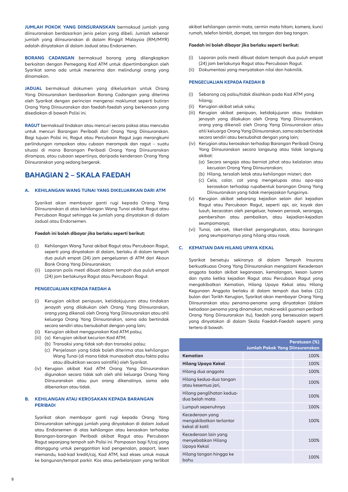**JUMLAH POKOK YANG DIINSURANSKAN** bermaksud jumlah yang diinsuranskan berdasarkan jenis pelan yang dibeli. Jumlah sebenar jumlah yang diinsuranskan di dalam Ringgit Malaysia (RM/MYR) adalah dinyatakan di dalam Jadual atau Endorsemen.

**BORANG CADANGAN** bermaksud borang yang dilengkapkan berkaitan dengan Pemegang Kad ATM untuk dipertimbangkan oleh Syarikat sama ada untuk menerima dan melindungi orang yang dinamakan.

**JADUAL** bermaksud dokumen yang dikeluarkan untuk Orang Yang Diinsuranskan berdasarkan Borang Cadangan yang diterima oleh Syarikat dengan perincian mengenai maklumat seperti butiran Orang Yang Diinsuranskan dan faedah-faedah yang berkenaan yang disediakan di bawah Polisi ini.

**RAGUT** bermaksud tindakan atau mencuri secara paksa atau mencuba untuk mencuri Barangan Peribadi dari Orang Yang Diinsuranskan. Bagi tujuan Polisi ini, Ragut atau Percubaan Ragut juga merangkumi perlindungan rompakan atau cubaan merompak dan ragut – suatu situasi di mana Barangan Peribadi Orang Yang Diinsuranskan dirampas, atau cubaan sepertinya, daripada kenderaan Orang Yang Diinsuranskan yang sedang bergerak.

# **BAHAGIAN 2 – SKALA FAEDAH**

# **A. KEHILANGAN WANG TUNAI YANG DIKELUARKAN DARI ATM**

Syarikat akan membayar ganti rugi kepada Orang Yang Diinsuranskan di atas kehilangan Wang Tunai akibat Ragut atau Percubaan Ragut sehingga ke jumlah yang dinyatakan di dalam Jadual atau Endorsemen.

## **Faedah ini boleh dibayar jika berlaku seperti berikut:**

- (i) Kehilangan Wang Tunai akibat Ragut atau Percubaan Ragut, seperti yang dinyatakan di dalam, berlaku di dalam tempoh dua puluh empat (24) jam pengeluaran di ATM dari Akaun Bank Orang Yang Diinsuranskan;
- (ii) Laporan polis mesti dibuat dalam tempoh dua puluh empat (24) jam berlakunya Ragut atau Percubaan Ragut.

#### **PENGECUALIAN KEPADA FAEDAH A**

- (i) Kerugian akibat penipuan, ketidakjujuran atau tindakan jenayah yang dilakukan oleh Orang Yang Diinsuranskan, orang yang dikenali oleh Orang Yang Diinsuranskan atau ahli keluarga Orang Yang Diinsuranskan, sama ada bertindak secara sendiri atau bersubahat dengan yang lain;
- (ii) Kerugian akibat menggunakan Kad ATM palsu;
- (iii) (a) Kerugian akibat kecurian Kad ATM;
	- (b) Transaksi yang tidak sah dan transaksi palsu;
	- (c) Penjelasan yang tidak boleh diterima atas kehilangan Wang Tunai (di mana tidak munasabah atau fakta palsu atau dibuktikan secara saintifik) oleh Syarikat.
- (iv) Kerugian akibat Kad ATM Orang Yang Diinsuranskan digunakan secara tidak sah oleh ahli keluarga Orang Yang Diinsuranskan atau pun orang dikenalinya, sama ada dibenarkan atau tidak.

# **B. KEHILANGAN ATAU KEROSAKAN KEPADA BARANGAN PERIBADI**

Syarikat akan membayar ganti rugi kepada Orang Yang Diinsuranskan sehingga jumlah yang dinyatakan di dalam Jadual atau Endorsemen di atas kehilangan atau kerosakan terhadap Barangan-barangan Peribadi akibat Ragut atau Percubaan Ragut sepanjang tempoh sah Polisi ini. Pampasan bagi fi/caj yang ditanggung untuk penggantian kad pengenalan, pasport, lesen memandu, kad-kad kredit/caj, Kad ATM, kad ekses untuk masuk ke bangunan/tempat parkir. Kos atau perbelanjaan yang terlibat akibat kehilangan cermin mata, cermin mata hitam, kamera, kunci rumah, telefon bimbit, dompet, tas tangan dan beg tangan.

#### **Faedah ini boleh dibayar jika berlaku seperti berikut:**

- (i) Laporan polis mesti dibuat dalam tempoh dua puluh empat (24) jam berlakunya Ragut atau Percubaan Ragut.
- (ii) Dokumentasi yang menyatakan nilai dan hakmilik.

# **PENGECUALIAN KEPADA FAEDAH B**

- (i) Sebarang caj palsu/tidak disahkan pada Kad ATM yang hilang;
- (ii) Kerugian akibat seluk saku;
- (iii) Kerugian akibat penipuan, ketidakjujuran atau tindakan jenayah yang dilakukan oleh Orang Yang Diinsuranskan, orang yang dikenali oleh Orang Yang Diinsuranskan atau ahli keluarga Orang Yang Diinsuranskan, sama ada bertindak secara sendiri atau bersubahat dengan yang lain;
- (iv) Kerugian atau kerosakan terhadap Barangan Peribadi Orang Yang Diinsuranskan secara langsung atau tidak langsung akibat:
	- (a) Secara sengaja atau berniat jahat atau kelalaian atau kecuaian Orang Yang Diinsuranskan;
	- (b) Hilang, tersalah letak atau kehilangan misteri; dan
	- (c) Cela, calar, cat yang mengelupas atau apa-apa kerosakan terhadap rupabentuk barangan Orang Yang Diinsuranskan yang tidak menjejaskan fungsinya.
- (v) Kerugian akibat sebarang kejadian selain dari kejadian Ragut atau Percubaan Ragut, seperti api, air, koyak dan lusuh, kecacatan oleh pengeluar, haiwan perosak, serangga, pembersihan atau pembaikan, atau kejadian-kejadian seumpamanya;
- (vi) Tunai, cek-cek, tiket-tiket pengangkutan, atau barangan yang seumpamanya yang hilang atau rosak.

# **C. KEMATIAN DAN HILANG UPAYA KEKAL**

Syarikat bersetuju sekiranya di dalam Tempoh Insurans berkuatkuasa Orang Yang Diinsuranskan mengalami Kecederaan anggota badan akibat keganasan, kemalangan, kesan luaran dan nyata ketika kejadian Ragut atau Percubaan Ragut yang mengakibatkan Kematian, Hilang Upaya Kekal atau Hilang Kegunaan Anggota berlaku di dalam tempoh dua belas (12) bulan dari Tarikh Kerugian, Syarikat akan membayar Orang Yang Diinsuranskan atau penama-penama yang dinyatakan (dalam ketiadaan penama yang dinamakan, maka wakil guaman peribadi Orang Yang Diinsuranskan itu), faedah yang bersesuaian seperti yang dinyatakan di dalam Skala Faedah-Faedah seperti yang tertera di bawah.

|                                                              | Jumlah Pokok Yang Diinsuranskan | Peratusan (%) |
|--------------------------------------------------------------|---------------------------------|---------------|
| Kematian                                                     |                                 | 100%          |
| Hilang Upaya Kekal                                           |                                 | 100%          |
| Hilang dua anggota                                           |                                 | 100%          |
| Hilang kedua-dua tangan<br>atau kesemua jari,                |                                 | 100%          |
| Hilang penglihatan kedua-<br>dua belah mata                  |                                 | 100%          |
| Lumpuh sepenuhnya                                            |                                 | 100%          |
| Kecederaan yang<br>mengakibatkan terlantar<br>kekal di katil |                                 | 100%          |
| Kecederaan lain yang<br>menyebabkan Hilang<br>Upaya Kekal    |                                 | 100%          |
| Hilang tangan hingga ke<br>bahu                              |                                 | 100%          |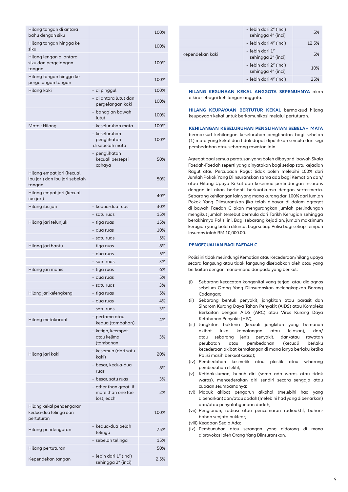| Hilang tangan di antara<br>bahu dengan siku                            |                                                           | 100%     |
|------------------------------------------------------------------------|-----------------------------------------------------------|----------|
| Hilang tangan hingga ke<br>siku                                        |                                                           | 100%     |
| Hilang lengan di antara<br>siku dan pergelangan<br>tangan              |                                                           | 100%     |
| Hilang tangan hingga ke<br>pergelangan tangan                          |                                                           | 100%     |
| Hilang kaki                                                            | - di pinggul                                              | 100%     |
|                                                                        | - di antara lutut dan                                     | 100%     |
|                                                                        | pergelangan kaki                                          |          |
|                                                                        | - bahagian bawah<br>lutut                                 | 100%     |
| Mata: Hilang                                                           | - keseluruhan mata                                        | 100%     |
|                                                                        | - keseluruhan<br>penglihatan<br>di sebelah mata           | 100%     |
|                                                                        | - penglihatan<br>kecuali persepsi<br>cahaya               | 50%      |
| Hilang empat jari (kecuali<br>ibu jari) dan ibu jari sebelah<br>tangan |                                                           | 50%      |
| Hilang empat jari (kecuali<br>ibu jari)                                |                                                           | 40%      |
| Hilang ibu jari                                                        | - kedua-dua ruas                                          | 30%      |
|                                                                        | - satu ruas                                               | 15%      |
| Hilang jari telunjuk                                                   | - tiga ruas                                               | 15%      |
|                                                                        | - dua ruas                                                | 10%      |
|                                                                        | - satu ruas                                               | 5%       |
| Hilang jari hantu                                                      | - tiga ruas                                               | 8%       |
|                                                                        | - dua ruas                                                | 5%       |
|                                                                        | - satu ruas                                               | 3%       |
| Hilang jari manis                                                      | - tiga ruas                                               | 6%       |
|                                                                        | - dua ruas                                                | 5%       |
|                                                                        | · satu ruas                                               | 3%<br>5% |
| Hilang jari kelengkeng                                                 | - tiga ruas<br>- dua ruas                                 | 4%       |
|                                                                        | - satu ruas                                               | 3%       |
|                                                                        | - pertama atau                                            |          |
| Hilang metakarpal                                                      | kedua (tambahan)                                          | 4%       |
|                                                                        | - ketiga, keempat<br>atau kelima<br>(tambahan             | 3%       |
| Hilang jari kaki                                                       | - kesemua (dari satu<br>kaki)                             | 20%      |
|                                                                        | - besar, kedua-dua<br>ruas                                | 8%       |
|                                                                        | - besar, satu ruas                                        | 3%       |
|                                                                        | - other than great, if<br>more than one toe<br>lost, each | 2%       |
| Hilang kekal pendengaran<br>kedua-dua telinga dan<br>pertuturan        |                                                           | 100%     |
| Hilang pendengaran                                                     | - kedua-dua belah<br>telinga                              | 75%      |
|                                                                        | - sebelah telinga                                         | 15%      |
| Hilang pertuturan                                                      |                                                           | 50%      |
| Kependekan tangan                                                      | - lebih dari 1″ (inci)<br>sehingga 2" (inci)              | 2.5%     |

|                 | - lebih dari 2″ (inci)<br>sehingga 4" (inci) | 5%    |
|-----------------|----------------------------------------------|-------|
|                 | - lebih dari 4" (inci)                       | 12.5% |
| Kependekan kaki | - lebih dari 1"<br>sehingga 2" (inci)        | 5%    |
|                 | - lebih dari 2″ (inci)<br>sehingga 4" (inci) | 10%   |
|                 | - lebih dari 4" (inci)                       | 25%   |

**HILANG KEGUNAAN KEKAL ANGGOTA SEPENUHNYA** akan dikira sebagai kehilangan anggota.

**HILANG KEUPAYAAN BERTUTUR KEKAL** bermaksud hilang keupayaan kekal untuk berkomunikasi melalui pertuturan.

**KEHILANGAN KESELURUHAN PENGLIHATAN SEBELAH MATA**  bermaksud kehilangan keseluruhan penglihatan bagi sebelah (1) mata yang kekal dan tidak dapat dipulihkan semula dari segi pembedahan atau sebarang rawatan lain.

 Agregat bagi semua peratusan yang boleh dibayar di bawah Skala Faedah-Faedah seperti yang dinyatakan bagi setiap satu kejadian Ragut atau Percubaan Ragut tidak boleh melebihi 100% dari Jumlah Pokok Yang Diinsuranskan sama ada bagi Kematian dan/ atau Hilang Upaya Kekal dan kesemua perlindungan insurans dengan ini akan berhenti berkuatkuasa dengan serta-merta. Sebarang kehilangan lain yang mana kurang dari 100% dari Jumlah Pokok Yang Diinsuranskan jika telah dibayar di dalam agregat di bawah Faedah C akan mengurangkan jumlah perlindungan mengikut jumlah tersebut bermula dari Tarikh Kerugian sehingga berakhirnya Polisi ini. Bagi sebarang kejadian, jumlah maksimum kerugian yang boleh dituntut bagi setiap Polisi bagi setiap Tempoh Insurans ialah RM 10,000.00.

## **PENGECUALIAN BAGI FAEDAH C**

 Polisi ini tidak melindungi Kematian atau Kecederaan/hilang upaya secara langsung atau tidak langsung disebabkan oleh atau yang berkaitan dengan mana-mana daripada yang berikut:

- (i) Sebarang kecacatan kongenital yang terjadi atau didiagnos sebelum Orang Yang Diinsuranskan melengkapkan Borang Cadangan;
- (ii) Sebarang bentuk penyakit, jangkitan atau parasit dan Sindrom Kurang Daya Tahan Penyakit (AIDS) atau Kompleks Berkaitan dengan AIDS (ARC) atau Virus Kurang Daya Ketahanan Penyakit (HIV);
- (iii) Jangkitan bakteria (kecuali jangkitan yang bernanah akibat luka kemalangan atau lelasan), dan/ atau sebarang jenis penyakit, dan/atau rawatan perubatan atau pembedahan (kecuali berlaku kecederaan akibat kemalangan di mana ianya berlaku ketika Polisi masih berkuatkuasa);
- (iv) Pembedahan kosmetik atau plastik atau sebarang pembedahan elektif;
- (v) Ketidaksiuman, bunuh diri (sama ada waras atau tidak waras), mencederakan diri sendiri secara sengaja atau cubaan seumpamanya;
- (vi) Mabuk akibat pengaruh alkohol (melebihi had yang dibenarkan) dan/atau dadah (melebihi had yang dibenarkan) dan/atau penyalahgunaan dadah;
- (vii) Pengionan, radiasi atau pencemaran radioaktif, bahanbahan senjata nuklear;
- (viii) Keadaan Sedia Ada;
- (ix) Pembunuhan atau serangan yang didorong di mana diprovokasi oleh Orang Yang Diinsuranskan.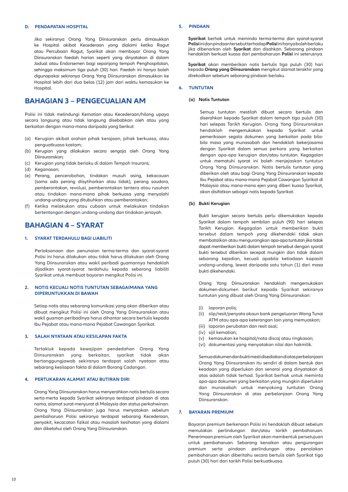# **D. PENDAPATAN HOSPITAL**

 Jika sekiranya Orang Yang Diinsuranskan perlu dimasukkan ke Hospital akibat Kecederaan yang dialami ketika Ragut atau Percubaan Ragut, Syarikat akan membayar Orang Yang Diinsuranskan faedah harian seperti yang dinyatakan di dalam Jadual atau Endorsemen bagi sepanjang tempoh Penghospitalan, sehingga maksimum tiga puluh (30) hari. Faedah ini hanya boleh digunapakai sekiranya Orang Yang Diinsuranskan dimasukkan ke Hospital lebih dari dua belas (12) jam dari waktu kemasukan ke Hospital.

# **BAHAGIAN 3 – PENGECUALIAN AM**

Polisi ini tidak melindungi Kematian atau Kecederaan/hilang upaya secara langsung atau tidak langsung disebabkan oleh atau yang berkaitan dengan mana-mana daripada yang berikut:

- (a) Kerugian akibat arahan pihak kerajaan, pihak berkuasa, atau penguatkuasa kastam;
- (b) Kerugian yang dilakukan secara sengaja oleh Orang Yang Diinsuranskan;
- (c) Kerugian yang tidak berlaku di dalam Tempoh Insurans;
- (d) Keganasan;
- (e) Perang, pencerobohan, tindakan musuh asing, kekacauan (sama ada perang diisytiharkan atau tidak), perang saudara, pemberontakan, revolusi, pemberontakan tentera atau rusuhan atau tindakan mana-mana pihak berkuasa yang menyalahi undang-undang yang ditubuhkan atau pemberontakan;
- (f) Ketika melakukan atau cubaan untuk melakukan tindakan bertentangan dengan undang-undang dan tindakan jenayah.

# **BAHAGIAN 4 – SYARAT**

# **1. SYARAT TERDAHULU BAGI LIABILITI**

Perlaksanaan dan penunaian terma-terma dan syarat-syarat Polisi ini harus dilakukan atau tidak harus dilakukan oleh Orang Yang Diinsuranskan atau wakil peribadi guamannya hendaklah dijadikan syarat-syarat terdahulu kepada sebarang liabiliti Syarikat untuk membuat bayaran mengikut Polisi ini.

# **2. NOTIS KECUALI NOTIS TUNTUTAN SEBAGAIMANA YANG DIPERUNTUKKAN DI BAWAH**

 Setiap notis atau sebarang komunikasi yang akan diberikan atau dibuat mengikut Polisi ini oleh Orang Yang Diinsuranskan atau wakil guaman peribadinya harus dihantar secara bertulis kepada Ibu Pejabat atau mana-mana Pejabat Cawangan Syarikat.

# **3. SALAH NYATAAN ATAU KESILAPAN FAKTA**

 Tertakluk kepada kewajipan pendedahan Orang Yang Diinsuranskan yang berkaitan, syarikat tidak akan bertanggungjawab sekiranya terdapat salah nyataan atau sebarang kesilapan fakta di dalam Borang Cadangan.

# **4. PERTUKARAN ALAMAT ATAU BUTIRAN DIRI**

 Orang Yang Diinsuranskan harus menyerahkan notis bertulis secara serta-merta kepada Syarikat sekiranya terdapat pindaan di atas nama, alamat surat-menyurat di Malaysia dan status perkahwinan. Orang Yang Diinsuranskan juga harus menyatakan sebelum pembaharuan Polisi sekiranya terdapat sebarang Kecederaan, penyakit, kecacatan fizikal atau masalah kesihatan yang dialami dan diketahui oleh Orang Yang Diinsuranskan.

## **5. PINDAAN**

 **Syarikat** berhak untuk meminda terma-terma dan syarat-syarat **Polisi** ini dan pindaan tersebut terhadap **Polisi** ini hanya boleh berlaku jika dibenarkan oleh **Syarikat** dan disahkan. Sebarang pindaan hendaklah berkuat kuasa dari pembaharuan **Polisi** ini seterusnya.

**Syarikat** akan memberikan notis bertulis tiga puluh (30) hari kepada **Orang yang Diinsuranskan** mengikut alamat terakhir yang direkodkan sebelum sebarang pindaan berlaku.

## **6. TUNTUTAN**

### **(a) Notis Tuntutan**

 Semua tuntutan mestilah dibuat secara bertulis dan diserahkan kepada Syarikat dalam tempoh tiga puluh (30) hari selepas Tarikh Kerugian. Orang Yang Diinsuranskan hendaklah mengemukakan kepada Syarikat untuk pemeriksaan segala dokumen yang berkaitan pada bilabila masa yang munasabah dan hendaklah bekerjasama dengan Syarikat dalam semua perkara yang berkaitan dengan apa-apa kerugian dan/atau tuntutan. Kegagalan untuk mematuhi syarat ini boleh menjejaskan tuntutun Orang Yang Diinsuranskan. Notis bertulis tuntutan yang diberikan oleh atau bagi Orang Yang Diinsuranskan kepada Ibu Pejabat atau mana-mana Pejabat Cawangan Syarikat di Malaysia atau mana-mana ejen yang diberi kuasa Syarikat, akan disifatkan sebagai notis kepada Syarikat.

#### **(b) Bukti Kerugian**

 Bukti kerugian secara bertulis perlu dikemukakan kepada Syarikat dalam tempoh sembilan puluh (90) hari selepas Tarikh Kerugian. Kegagalan untuk memberikan bukti tersebut dalam tempoh yang dikehendaki tidak akan membatalkan atau mengurangkan apa-apa tuntutan jika tidak dapat memberikan bukti dalam tempoh tersebut dengan syarat bukti tersebut diberikan secepat mungkin dan tidak dalam sebarang kejadian, kecuali apabila ketiadaan kapasiti undang-undang, lewat daripada satu tahun (1) dari masa bukti dikehendaki.

 Orang Yang Diinsuranskan hendaklah mengemukakan dokumen-dokumen berikut kepada Syarikat sekiranya tuntutan yang dibuat oleh Orang Yang Diinsuranskan:

- (i) laporan polis;
- (ii) slip/resit/penyata akaun bank pengeluaran Wang Tunai ATM atau apa-apa keterangan lain yang memuaskan;
- (iii) laporan perubatan dan resit asal;
- (iv) sijil kematian;
- (v) kemasukan ke hospital/nota discaj atau ringkasan;
- (vi) dokumentasi yang menyatakan nilai dan hakmilik.

 Semua dokumen dan bukti mesti disediakan di atas perbelanjaan Orang Yang Diinsuranskan itu sendiri di dalam bentuk dan keadaan yang diperlukan dan senarai yang dinyatakan di atas adalah tidak terhad. Syarikat berhak untuk meminta apa-apa dokumen yang berkaitan yang mungkin diperlukan dan munasabah untuk menyokong tuntutan Orang Yang Diinsuranskan di atas perbelanjaan Orang Yang Diinsuranskan.

# **7. BAYARAN PREMIUM**

 Bayaran premium berkenaan Polisi ini hendaklah dibuat sebelum memulakan perlindungan dan/atau tarikh pembaharuan. Penerimaan premium oleh Syarikat akan membentuk persetujuan untuk pembaharuan. Sebarang kenaikan atau pengurangan premium serta pindaan perlindungan atau penolakan pembaharuan akan diberitahu secara bertulis oleh Syarikat tiga puluh (30) hari dari tarikh Polisi berkuatkuasa.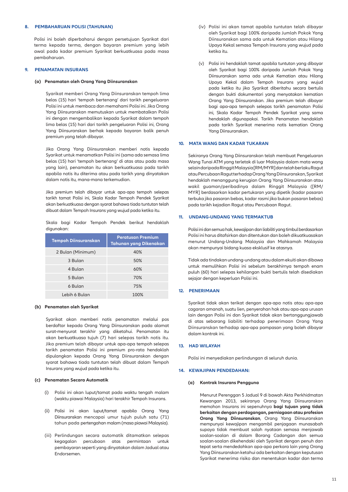#### **8. PEMBAHARUAN POLISI (TAHUNAN)**

 Polisi ini boleh diperbaharui dengan persetujuan Syarikat dari terma kepada terma, dengan bayaran premium yang lebih awal pada kadar premium Syarikat berkuatkuasa pada masa pembaharuan.

#### **9. PENAMATAN INSURANS**

#### **(a) Penamatan oleh Orang Yang Diinsuranskan**

 Syarikat memberi Orang Yang Diinsuranskan tempoh lima belas (15) hari 'tempoh bertenang' dari tarikh pengeluaran Polisi ini untuk membaca dan memahami Polisi ini. Jika Orang Yang Diinsuranskan memutuskan untuk membatalkan Polisi ini dengan mengembalikan kepada Syarikat dalam tempoh lima belas (15) hari dari tarikh pengeluaran Polisi ini, Orang Yang Diinsuranskan berhak kepada bayaran balik penuh premium yang telah dibayar.

 Jika Orang Yang Diinsuranskan memberi notis kepada Syarikat untuk menamatkan Polisi ini (sama ada semasa lima belas (15) hari 'tempoh bertenang' di atas atau pada masa yang lain), penamatan itu akan berkuatkuasa pada tarikh apabila notis itu diterima atau pada tarikh yang dinyatakan dalam notis itu, mana-mana terkemudian.

 Jika premium telah dibayar untuk apa-apa tempoh selepas tarikh tamat Polisi ini, Skala Kadar Tempoh Pendek Syarikat akan berkuatkuasa dengan syarat bahawa tiada tuntutan telah dibuat dalam Tempoh Insurans yang wujud pada ketika itu.

 Skala bagi Kadar Tempoh Pendek berikut hendaklah digunakan:

| <b>Tempoh Diinsuranskan</b> | <b>Peratusan Premium</b><br><b>Tahunan yang Dikenakan</b> |
|-----------------------------|-----------------------------------------------------------|
| 2 Bulan (Minimum)           | 40%                                                       |
| 3 Bulan                     | 50%                                                       |
| 4 Bulan                     | 60%                                                       |
| 5 Bulan                     | 70%                                                       |
| 6 Bulan                     | 75%                                                       |
| Lebih 6 Bulan               | 100%                                                      |

#### **(b) Penamatan oleh Syarikat**

 Syarikat akan memberi notis penamatan melalui pos berdaftar kepada Orang Yang Diinsuranskan pada alamat surat-menyurat terakhir yang diketahui. Penamatan itu akan berkuatkuasa tujuh (7) hari selepas tarikh notis itu. Jika premium telah dibayar untuk apa-apa tempoh selepas tarikh penamatan Polisi ini premium pro-rata hendaklah dipulangkan kepada Orang Yang Diinsuranskan dengan syarat bahawa tiada tuntutan telah dibuat dalam Tempoh Insurans yang wujud pada ketika itu.

#### **(c) Penamatan Secara Automatik**

- (i) Polisi ini akan luput/tamat pada waktu tengah malam (waktu piawai Malaysia) hari terakhir Tempoh Insurans.
- (ii) Polisi ini akan luput/tamat apabila Orang Yang Diinsuranskan mencapai umur tujuh puluh satu (71) tahun pada pertengahan malam (masa piawai Malaysia).
- (iii) Perlindungan secara automatik ditamatkan selepas kegagalan percubaan atas permintaan untuk pembayaran seperti yang dinyatakan dalam Jadual atau Endorsemen.
- (iv) Polisi ini akan tamat apabila tuntutan telah dibayar oleh Syarikat bagi 100% daripada Jumlah Pokok Yang Diinsuranskan sama ada untuk Kematian atau Hilang Upaya Kekal semasa Tempoh Insurans yang wujud pada ketika itu.
- (v) Polisi ini hendaklah tamat apabila tuntutan yang dibayar oleh Syarikat bagi 100% daripada Jumlah Pokok Yang Diinsuranskan sama ada untuk Kematian atau Hilang Upaya Kekal dalam Tempoh Insurans yang wujud pada ketika itu jika Syarikat diberitahu secara bertulis dengan bukti dokumentari yang menyatakan kematian Orang Yang Diinsuranskan. Jika premium telah dibayar bagi apa-apa tempoh selepas tarikh penamatan Polisi ini, Skala Kadar Tempoh Pendek Syarikat yang sama hendaklah digunapakai. Tarikh Penamatan hendaklah pada tarikh Syarikat menerima notis kematian Orang Yang Diinsuranskan.

# **10. MATA WANG DAN KADAR TUKARAN**

 Sekiranya Orang Yang Diinsuranskan telah membuat Pengeluaran Wang Tunai ATM yang terletak di luar Malaysia dalam mata wang selain daripada Ringgit Malaysia [RM/MYR] dan telah berlaku Ragut atau Percubaan Ragut terhadap Orang Yang Diinsuranskan, Syarikat hendaklah menanggung kerugian Orang Yang Diinsuranskan atau wakil guaman/peribadinya dalam Ringgit Malaysia ([RM/ MYR] berdasarkan kadar pertukaran yang dipetik (kadar pasaran terbuka jika pasaran bebas, kadar rasmi jika bukan pasaran bebas) pada tarikh kejadian Ragut atau Percubaan Ragut.

# **11. UNDANG-UNDANG YANG TERMAKTUB**

 Polisi ini dan semua hak, kewajipan dan liabiliti yang timbul berdasarkan Polisi ini harus ditafsirkan dan ditentukan dan boleh dikuatkuasakan menurut Undang-Undang Malaysia dan Mahkamah Malaysia akan mempunyai bidang kuasa eksklusif ke atasnya.

 Tidak ada tindakan undang-undang atau dalam ekuiti akan dibawa untuk memulihkan Polisi ini sebelum berakhirnya tempoh enam puluh (60) hari selepas kehilangan bukti bertulis telah disediakan sejajar dengan keperluan Polisi ini.

## **12. PENERIMAAN**

 Syarikat tidak akan terikat dengan apa-apa notis atau apa-apa cagaran amanah, suatu lien, penyerahan hak atau apa-apa urusan lain dengan Polisi ini dan Syarikat tidak akan bertanggungjawab di atas sebarang liabiliti terhadap penerimaan Orang Yang Diinsuranskan terhadap apa-apa pampasan yang boleh dibayar dalam kontrak ini.

#### **13. HAD WILAYAH**

Polisi ini menyediakan perlindungan di seluruh dunia.

#### **14. KEWAJIPAN PENDEDAHAN:**

#### **(a) Kontrak Insurans Pengguna**

 Menurut Perenggan 5 Jadual 9 di bawah Akta Perkhidmatan Kewangan 2013, sekiranya Orang Yang Diinsuranskan memohon Insurans ini sepenuhnya **bagi tujuan yang tidak berkaitan dengan perdagangan, perniagaan atau profesion Orang Yang Diinsuranskan**, Orang Yang Diinsuranskan mempunyai kewajipan mengambil penjagaan munasabah supaya tidak membuat salah nyataan semasa menjawab soalan-soalan di dalam Borang Cadangan dan semua soalan-soalan dikehendaki oleh Syarikat dengan penuh dan tepat serta mendedahkan apa-apa perkara lain yang Orang Yang Diinsuranskan ketahui ada berkaitan dengan keputusan Syarikat menerima risiko dan menentukan kadar dan terma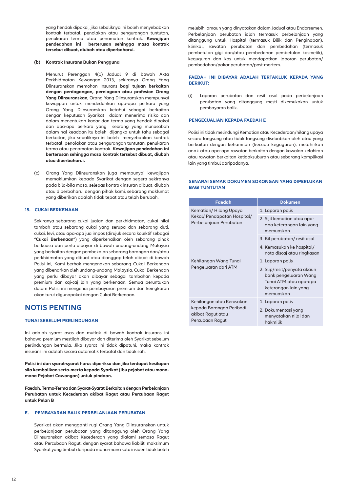yang hendak dipakai, jika sebaliknya ini boleh menyebabkan kontrak terbatal, penolakan atau pengurangan tuntutan, penukaran terma atau penamatan kontrak. **Kewajipan pendedahan ini berterusan sehingga masa kontrak tersebut dibuat, diubah atau diperbaharui.** 

## **(b) Kontrak Insurans Bukan Pengguna**

 Menurut Perenggan 4(1) Jadual 9 di bawah Akta Perkhidmatan Kewangan 2013, sekiranya Orang Yang Diinsuranskan memohon Insurans **bagi tujuan berkaitan dengan perdagangan, perniagaan atau profesion Orang Yang Diinsuranskan**, Orang Yang Diinsuranskan mempunyai kewajipan untuk mendedahkan apa-apa perkara yang Orang Yang Diinsuranskan ketahui sebagai berkaitan dengan keputusan Syarikat dalam menerima risiko dan dalam menentukan kadar dan terma yang hendak dipakai dan apa-apa perkara yang seorang yang munasabah dalam hal keadaan itu boleh dijangka untuk tahu sebagai berkaitan, jika sebaliknya ini boleh menyebabkan kontrak terbatal, penolakan atau pengurangan tuntutan, penukaran terma atau penamatan kontrak. **Kewajipan pendedahan ini berterusan sehingga masa kontrak tersebut dibuat, diubah atau diperbaharui.**

(c) Orang Yang Diinsuranskan juga mempunyai kewajipan memaklumkan kepada Syarikat dengan segera sekiranya pada bila-bila masa, selepas kontrak insuran dibuat, diubah atau diperbaharui dengan pihak kami, sebarang maklumat yang diberikan adalah tidak tepat atau telah berubah.

# **15. CUKAI BERKENAAN**

 Sekiranya sebarang cukai jualan dan perkhidmatan, cukai nilai tambah atau sebarang cukai yang serupa dan sebarang duti, cukai, levi, atau apa-apa jua impos (dirujuk secara kolektif sebagai "**Cukai Berkenaan**") yang diperkenalkan oleh sebarang pihak berkuasa dan perlu dibayar di bawah undang-undang Malaysia yang berkaitan dengan pembekalan sebarang barangan dan/atau perkhidmatan yang dibuat atau dianggap telah dibuat di bawah Polisi ini, Kami berhak mengenakan sebarang Cukai Berkenaan yang dibenarkan oleh undang-undang Malaysia. Cukai Berkenaan yang perlu dibayar akan dibayar sebagai tambahan kepada premium dan caj-caj lain yang berkenaan. Semua peruntukan dalam Polisi ini mengenai pembayaran premium dan keingkaran akan turut digunapakai dengan Cukai Berkenaan.

# **NOTIS PENTING**

# **TUNAI SEBELUM PERLINDUNGAN**

Ini adalah syarat asas dan mutlak di bawah kontrak insurans ini bahawa premium mestilah dibayar dan diterima oleh Syarikat sebelum perlindungan bermula. Jika syarat ini tidak dipatuhi, maka kontrak insurans ini adalah secara automatik terbatal dan tidak sah.

**Polisi ini dan syarat-syarat harus diperiksa dan jika terdapat kesilapan sila kembalikan serta-merta kepada Syarikat (Ibu pejabat atau manamana Pejabat Cawangan) untuk pindaan.**

**Faedah, Terma-Terma dan Syarat-Syarat Berkaitan dengan Perbelanjaan Perubatan untuk Kecederaan akibat Ragut atau Percubaan Ragut untuk Pelan B**

# **E. PEMBAYARAN BALIK PERBELANJAAN PERUBATAN**

 Syarikat akan mengganti rugi Orang Yang Diinsuranskan untuk perbelanjaan perubatan yang ditanggung oleh Orang Yang Diinsuranskan akibat Kecederaan yang dialami semasa Ragut atau Percubaan Ragut, dengan syarat bahawa liabiliti maksimum Syarikat yang timbul daripada mana-mana satu insiden tidak boleh

melebihi amaun yang dinyatakan dalam Jadual atau Endorsemen. Perbelanjaan perubatan ialah termasuk perbelanjaan yang ditanggung untuk Hospital (termasuk Bilik dan Penginapan), klinikal, rawatan perubatan dan pembedahan (termasuk pembetulan gigi dan/atau pembedahan pembetulan kosmetik), keguguran dan kos untuk mendapatkan laporan perubatan/ pembedahan/pakar perubatan/post-mortem.

# **FAEDAH INI DIBAYAR ADALAH TERTAKLUK KEPADA YANG BERIKUT:**

(i) Laporan perubatan dan resit asal pada perbelanjaan perubatan yang ditanggung mesti dikemukakan untuk pembayaran balik.

# **PENGECUALIAN KEPADA FAEDAH E**

 Polisi ini tidak melindungi Kematian atau Kecederaan/hilang upaya secara langsung atau tidak langsung disebabkan oleh atau yang berkaitan dengan kehamilan (kecuali keguguran), melahirkan anak atau apa-apa rawatan berkaitan dengan kawalan kelahiran atau rawatan berkaitan ketidaksuburan atau sebarang komplikasi lain yang timbul daripadanya.

# **SENARAI SEMAK DOKUMEN SOKONGAN YANG DIPERLUKAN BAGI TUNTUTAN**

| Faedah                                                                                        | <b>Dokumen</b>                                                                                                      |
|-----------------------------------------------------------------------------------------------|---------------------------------------------------------------------------------------------------------------------|
| Kematian/ Hilang Upaya<br>Kekal/ Pendapatan Hospital/<br>Perbelanjaan Perubatan               | 1. Laporan polis                                                                                                    |
|                                                                                               | 2. Sijil kematian atau apa-<br>apa keterangan lain yang<br>memuaskan                                                |
|                                                                                               | 3. Bil perubatan/resit asal                                                                                         |
|                                                                                               | 4. Kemasukan ke hospital/<br>nota discaj atau ringkasan                                                             |
| Kehilangan Wang Tunai<br>Pengeluaran dari ATM                                                 | 1. Laporan polis                                                                                                    |
|                                                                                               | 2. Slip/resit/penyata akaun<br>bank pengeluaran Wang<br>Tunai ATM atau apa-apa<br>keterangan lain yang<br>memuaskan |
| Kehilangan atau Kerosakan<br>kepada Barangan Peribadi<br>akibat Ragut atau<br>Percubaan Ragut | 1. Laporan polis                                                                                                    |
|                                                                                               | 2. Dokumentasi yang<br>menyatakan nilai dan<br>hakmilik                                                             |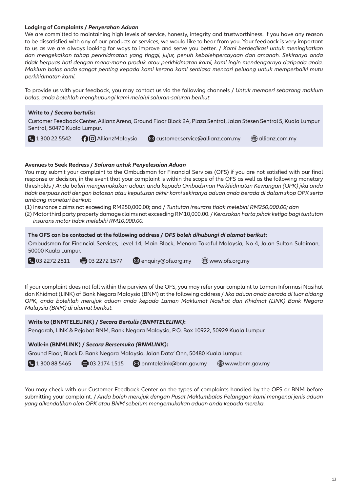# **Lodging of Complaints /** *Penyerahan Aduan*

We are committed to maintaining high levels of service, honesty, integrity and trustworthiness. If you have any reason to be dissatisfied with any of our products or services, we would like to hear from you. Your feedback is very important to us as we are always looking for ways to improve and serve you better. / *Kami berdedikasi untuk meningkatkan dan mengekalkan tahap perkhidmatan yang tinggi, jujur, penuh kebolehpercayaan dan amanah. Sekiranya anda tidak berpuas hati dengan mana-mana produk atau perkhidmatan kami, kami ingin mendengarnya daripada anda. Maklum balas anda sangat penting kepada kami kerana kami sentiasa mencari peluang untuk memperbaiki mutu perkhidmatan kami.*

To provide us with your feedback, you may contact us via the following channels / *Untuk memberi sebarang maklum balas, anda bolehlah menghubungi kami melalui saluran-saluran berikut*:

# **Write to /** *Secara bertulis***:**

Customer Feedback Center, Allianz Arena, Ground Floor Block 2A, Plaza Sentral, Jalan Stesen Sentral 5, Kuala Lumpur Sentral, 50470 Kuala Lumpur.

**L** 1 300 22 5542 **C**  $\odot$   $\odot$  AllianzMalaysia **cometable customer.service@allianz.com.my**  $\oplus$  **allianz.com.my** 

# **Avenues to Seek Redress /** *Saluran untuk Penyelesaian Aduan*

You may submit your complaint to the Ombudsman for Financial Services (OFS) if you are not satisfied with our final response or decision, in the event that your complaint is within the scope of the OFS as well as the following monetary thresholds / *Anda boleh mengemukakan aduan anda kepada Ombudsman Perkhidmatan Kewangan (OPK) jika anda tidak berpuas hati dengan balasan atau keputusan akhir kami sekiranya aduan anda berada di dalam skop OPK serta ambang monetari berikut*:

(1) Insurance claims not exceeding RM250,000.00; and / *Tuntutan insurans tidak melebihi RM250,000.00; dan*

(2) Motor third party property damage claims not exceeding RM10,000.00. / *Kerosakan harta pihak ketiga bagi tuntutan insurans motor tidak melebihi RM10,000.00.*

**The OFS can be contacted at the following address /** *OFS boleh dihubungi di alamat berikut***:**

Ombudsman for Financial Services, Level 14, Main Block, Menara Takaful Malaysia, No 4, Jalan Sultan Sulaiman, 50000 Kuala Lumpur.

 $\bigcirc$  03 2272 2811 **example 2272 1577**  $\bigcirc$  enquiry@ofs.org.my  $\bigcirc$  www.ofs.org.my

If your complaint does not fall within the purview of the OFS, you may refer your complaint to Laman Informasi Nasihat dan Khidmat (LINK) of Bank Negara Malaysia (BNM) at the following address / *Jika aduan anda berada di luar bidang OPK, anda bolehlah merujuk aduan anda kepada Laman Maklumat Nasihat dan Khidmat (LINK) Bank Negara Malaysia (BNM) di alamat berikut*:

# **Write to (BNMTELELINK) /** *Secara Bertulis (BNMTELELINK)***:**

Pengarah, LINK & Pejabat BNM, Bank Negara Malaysia, P.O. Box 10922, 50929 Kuala Lumpur.

**Walk-in (BNMLINK) /** *Secara Bersemuka (BNMLINK)***:**

Ground Floor, Block D, Bank Negara Malaysia, Jalan Dato' Onn, 50480 Kuala Lumpur.

 $\bigcup$  1 300 88 5465  $\bigoplus$  03 2174 1515  $\bigotimes$  bnmtelelink@bnm.gov.my  $\bigoplus$  www.bnm.gov.my

You may check with our Customer Feedback Center on the types of complaints handled by the OFS or BNM before submitting your complaint. / *Anda boleh merujuk dengan Pusat Maklumbalas Pelanggan kami mengenai jenis aduan yang dikendalikan oleh OPK atau BNM sebelum mengemukakan aduan anda kepada mereka.*